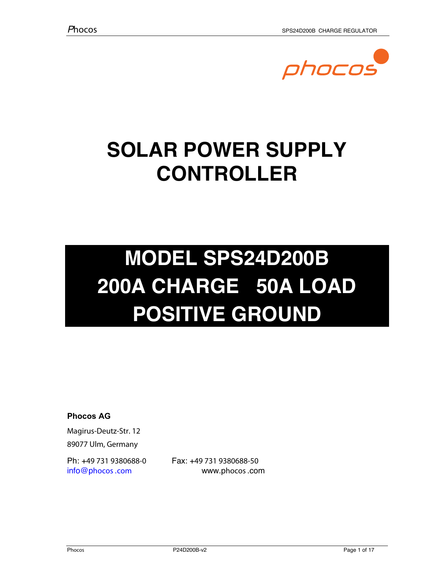

# **SOLAR POWER SUPPLY CONTROLLER**

# **MODEL SPS24D200B 200A CHARGE 50A LOAD POSITIVE GROUND**

**Phocos AG** 

Magirus-Deutz-Str. 12 89077 Ulm, Germany

Ph: +49 731 9380688-0 Fax: +49 731 9380688-50 info@phocos.com www.phocos.com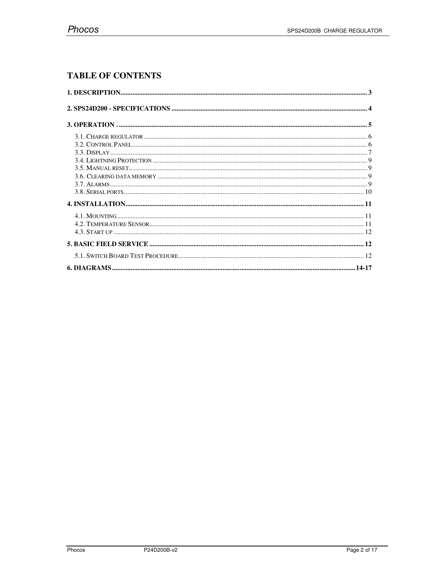# **TABLE OF CONTENTS**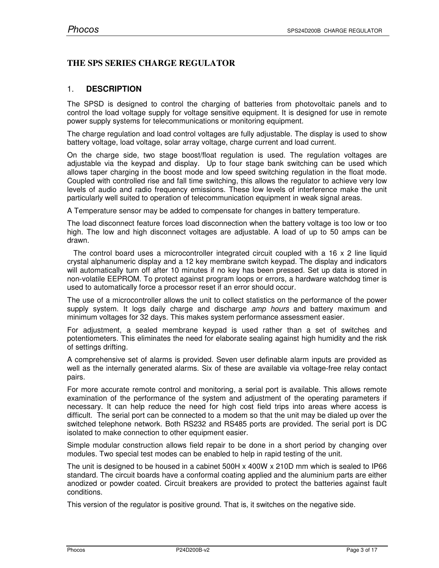# **THE SPS SERIES CHARGE REGULATOR**

# 1. **DESCRIPTION**

The SPSD is designed to control the charging of batteries from photovoltaic panels and to control the load voltage supply for voltage sensitive equipment. It is designed for use in remote power supply systems for telecommunications or monitoring equipment.

The charge regulation and load control voltages are fully adjustable. The display is used to show battery voltage, load voltage, solar array voltage, charge current and load current.

On the charge side, two stage boost/float regulation is used. The regulation voltages are adjustable via the keypad and display. Up to four stage bank switching can be used which allows taper charging in the boost mode and low speed switching regulation in the float mode. Coupled with controlled rise and fall time switching, this allows the regulator to achieve very low levels of audio and radio frequency emissions. These low levels of interference make the unit particularly well suited to operation of telecommunication equipment in weak signal areas.

A Temperature sensor may be added to compensate for changes in battery temperature.

The load disconnect feature forces load disconnection when the battery voltage is too low or too high. The low and high disconnect voltages are adjustable. A load of up to 50 amps can be drawn.

 The control board uses a microcontroller integrated circuit coupled with a 16 x 2 line liquid crystal alphanumeric display and a 12 key membrane switch keypad. The display and indicators will automatically turn off after 10 minutes if no key has been pressed. Set up data is stored in non-volatile EEPROM. To protect against program loops or errors, a hardware watchdog timer is used to automatically force a processor reset if an error should occur.

The use of a microcontroller allows the unit to collect statistics on the performance of the power supply system. It logs daily charge and discharge *amp hours* and battery maximum and minimum voltages for 32 days. This makes system performance assessment easier.

For adjustment, a sealed membrane keypad is used rather than a set of switches and potentiometers. This eliminates the need for elaborate sealing against high humidity and the risk of settings drifting.

A comprehensive set of alarms is provided. Seven user definable alarm inputs are provided as well as the internally generated alarms. Six of these are available via voltage-free relay contact pairs.

For more accurate remote control and monitoring, a serial port is available. This allows remote examination of the performance of the system and adjustment of the operating parameters if necessary. It can help reduce the need for high cost field trips into areas where access is difficult. The serial port can be connected to a modem so that the unit may be dialed up over the switched telephone network. Both RS232 and RS485 ports are provided. The serial port is DC isolated to make connection to other equipment easier.

Simple modular construction allows field repair to be done in a short period by changing over modules. Two special test modes can be enabled to help in rapid testing of the unit.

The unit is designed to be housed in a cabinet 500H x 400W x 210D mm which is sealed to IP66 standard. The circuit boards have a conformal coating applied and the aluminium parts are either anodized or powder coated. Circuit breakers are provided to protect the batteries against fault conditions.

This version of the regulator is positive ground. That is, it switches on the negative side.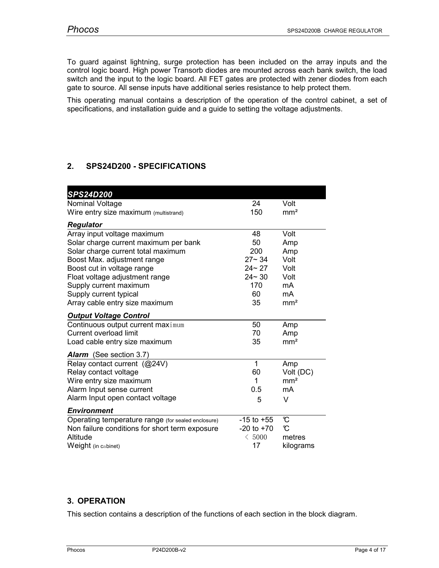To guard against lightning, surge protection has been included on the array inputs and the control logic board. High power Transorb diodes are mounted across each bank switch, the load switch and the input to the logic board. All FET gates are protected with zener diodes from each gate to source. All sense inputs have additional series resistance to help protect them.

This operating manual contains a description of the operation of the control cabinet, a set of specifications, and installation guide and a guide to setting the voltage adjustments.

# **2. SPS24D200 - SPECIFICATIONS**

| <b>SPS24D200</b>                                   |                |                 |
|----------------------------------------------------|----------------|-----------------|
| Nominal Voltage                                    | 24             | Volt            |
| Wire entry size maximum (multistrand)              | 150            | mm <sup>2</sup> |
| <b>Regulator</b>                                   |                |                 |
| Array input voltage maximum                        | 48             | Volt            |
| Solar charge current maximum per bank              | 50             | Amp             |
| Solar charge current total maximum                 | 200            | Amp             |
| Boost Max. adjustment range                        | $27 - 34$      | Volt            |
| Boost cut in voltage range                         | $24 - 27$      | Volt            |
| Float voltage adjustment range                     | $24 - 30$      | Volt            |
| Supply current maximum                             | 170            | mA              |
| Supply current typical                             | 60             | mA              |
| Array cable entry size maximum                     | 35             | mm <sup>2</sup> |
| <b>Output Voltage Control</b>                      |                |                 |
| Continuous output current maximum                  | 50             | Amp             |
| Current overload limit                             | 70             | Amp             |
| Load cable entry size maximum                      | 35             | mm <sup>2</sup> |
| Alarm (See section 3.7)                            |                |                 |
| Relay contact current (@24V)                       | $\mathbf 1$    | Amp             |
| Relay contact voltage                              | 60             | Volt (DC)       |
| Wire entry size maximum                            | 1              | mm <sup>2</sup> |
| Alarm Input sense current                          | 0.5            | mA              |
| Alarm Input open contact voltage                   | 5              | V               |
| <b>Environment</b>                                 |                |                 |
| Operating temperature range (for sealed enclosure) | $-15$ to $+55$ | C               |
| Non failure conditions for short term exposure     | $-20$ to $+70$ | C               |
| Altitude                                           | $\leq 5000$    | metres          |
| Weight (in cabinet)                                | 17             | kilograms       |

# **3. OPERATION**

This section contains a description of the functions of each section in the block diagram.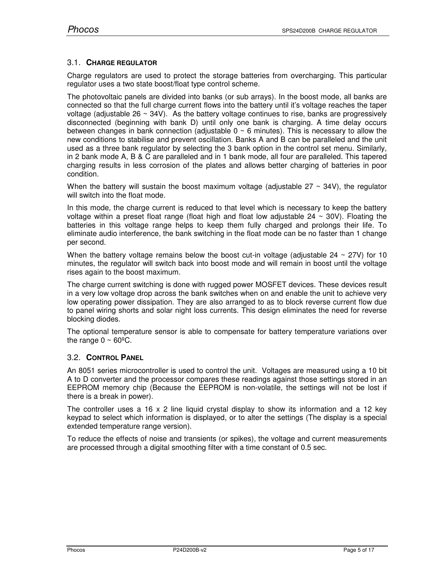# 3.1. **CHARGE REGULATOR**

Charge regulators are used to protect the storage batteries from overcharging. This particular regulator uses a two state boost/float type control scheme.

The photovoltaic panels are divided into banks (or sub arrays). In the boost mode, all banks are connected so that the full charge current flows into the battery until it's voltage reaches the taper voltage (adjustable  $26 \sim 34V$ ). As the battery voltage continues to rise, banks are progressively disconnected (beginning with bank D) until only one bank is charging. A time delay occurs between changes in bank connection (adjustable  $0 \sim 6$  minutes). This is necessary to allow the new conditions to stabilise and prevent oscillation. Banks A and B can be paralleled and the unit used as a three bank regulator by selecting the 3 bank option in the control set menu. Similarly, in 2 bank mode A, B & C are paralleled and in 1 bank mode, all four are paralleled. This tapered charging results in less corrosion of the plates and allows better charging of batteries in poor condition.

When the battery will sustain the boost maximum voltage (adjustable  $27 \sim 34V$ ), the regulator will switch into the float mode.

In this mode, the charge current is reduced to that level which is necessary to keep the battery voltage within a preset float range (float high and float low adjustable  $24 \sim 30V$ ). Floating the batteries in this voltage range helps to keep them fully charged and prolongs their life. To eliminate audio interference, the bank switching in the float mode can be no faster than 1 change per second.

When the battery voltage remains below the boost cut-in voltage (adjustable  $24 \sim 27V$ ) for 10 minutes, the regulator will switch back into boost mode and will remain in boost until the voltage rises again to the boost maximum.

The charge current switching is done with rugged power MOSFET devices. These devices result in a very low voltage drop across the bank switches when on and enable the unit to achieve very low operating power dissipation. They are also arranged to as to block reverse current flow due to panel wiring shorts and solar night loss currents. This design eliminates the need for reverse blocking diodes.

The optional temperature sensor is able to compensate for battery temperature variations over the range  $0 \sim 60^{\circ}$ C.

# 3.2. **CONTROL PANEL**

An 8051 series microcontroller is used to control the unit. Voltages are measured using a 10 bit A to D converter and the processor compares these readings against those settings stored in an EEPROM memory chip (Because the EEPROM is non-volatile, the settings will not be lost if there is a break in power).

The controller uses a 16 x 2 line liquid crystal display to show its information and a 12 key keypad to select which information is displayed, or to alter the settings (The display is a special extended temperature range version).

To reduce the effects of noise and transients (or spikes), the voltage and current measurements are processed through a digital smoothing filter with a time constant of 0.5 sec.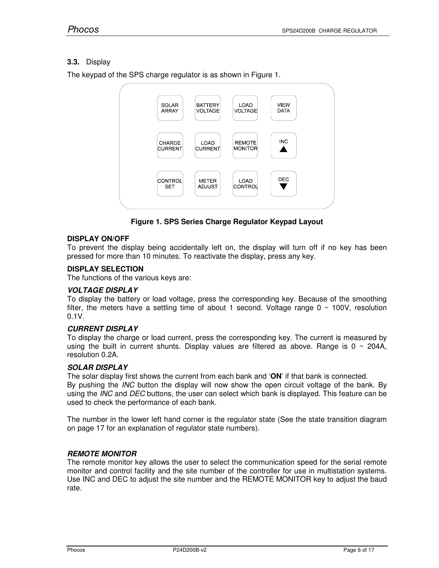# **3.3.** Display

The keypad of the SPS charge regulator is as shown in Figure 1.



**Figure 1. SPS Series Charge Regulator Keypad Layout**

# **DISPLAY ON/OFF**

To prevent the display being accidentally left on, the display will turn off if no key has been pressed for more than 10 minutes. To reactivate the display, press any key.

# **DISPLAY SELECTION**

The functions of the various keys are:

# **VOLTAGE DISPLAY**

To display the battery or load voltage, press the corresponding key. Because of the smoothing filter, the meters have a settling time of about 1 second. Voltage range  $0 \sim 100$ V, resolution 0.1V.

# **CURRENT DISPLAY**

To display the charge or load current, press the corresponding key. The current is measured by using the built in current shunts. Display values are filtered as above. Range is  $0 \sim 204$ A, resolution 0.2A.

# **SOLAR DISPLAY**

The solar display first shows the current from each bank and '**ON**' if that bank is connected. By pushing the *INC* button the display will now show the open circuit voltage of the bank. By using the *INC* and *DEC* buttons, the user can select which bank is displayed. This feature can be used to check the performance of each bank.

The number in the lower left hand corner is the regulator state (See the state transition diagram on page 17 for an explanation of regulator state numbers).

# **REMOTE MONITOR**

The remote monitor key allows the user to select the communication speed for the serial remote monitor and control facility and the site number of the controller for use in multistation systems. Use INC and DEC to adjust the site number and the REMOTE MONITOR key to adjust the baud rate.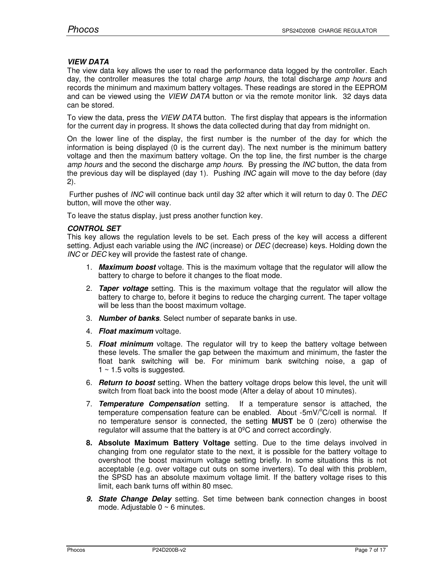#### **VIEW DATA**

The view data key allows the user to read the performance data logged by the controller. Each day, the controller measures the total charge *amp hours*, the total discharge *amp hours* and records the minimum and maximum battery voltages. These readings are stored in the EEPROM and can be viewed using the *VIEW DATA* button or via the remote monitor link. 32 days data can be stored.

To view the data, press the *VIEW DATA* button. The first display that appears is the information for the current day in progress. It shows the data collected during that day from midnight on.

On the lower line of the display, the first number is the number of the day for which the information is being displayed (0 is the current day). The next number is the minimum battery voltage and then the maximum battery voltage. On the top line, the first number is the charge *amp hours* and the second the discharge *amp hours*. By pressing the *INC* button, the data from the previous day will be displayed (day 1). Pushing *INC* again will move to the day before (day 2).

 Further pushes of *INC* will continue back until day 32 after which it will return to day 0. The *DEC* button, will move the other way.

To leave the status display, just press another function key.

#### **CONTROL SET**

This key allows the regulation levels to be set. Each press of the key will access a different setting. Adjust each variable using the *INC* (increase) or *DEC* (decrease) keys. Holding down the *INC* or *DEC* key will provide the fastest rate of change.

- 1. **Maximum boost** voltage. This is the maximum voltage that the regulator will allow the battery to charge to before it changes to the float mode.
- 2. **Taper voltage** setting. This is the maximum voltage that the regulator will allow the battery to charge to, before it begins to reduce the charging current. The taper voltage will be less than the boost maximum voltage.
- 3. **Number of banks**. Select number of separate banks in use.
- 4. **Float maximum** voltage.
- 5. **Float minimum** voltage. The regulator will try to keep the battery voltage between these levels. The smaller the gap between the maximum and minimum, the faster the float bank switching will be. For minimum bank switching noise, a gap of  $1 \sim 1.5$  volts is suggested.
- 6. **Return to boost** setting. When the battery voltage drops below this level, the unit will switch from float back into the boost mode (After a delay of about 10 minutes).
- 7. **Temperature Compensation** setting. If a temperature sensor is attached, the temperature compensation feature can be enabled. About  $-5mV^{\circ}C/c$ ell is normal. If no temperature sensor is connected, the setting **MUST** be 0 (zero) otherwise the regulator will assume that the battery is at 0ºC and correct accordingly.
- **8. Absolute Maximum Battery Voltage** setting. Due to the time delays involved in changing from one regulator state to the next, it is possible for the battery voltage to overshoot the boost maximum voltage setting briefly. In some situations this is not acceptable (e.g. over voltage cut outs on some inverters). To deal with this problem, the SPSD has an absolute maximum voltage limit. If the battery voltage rises to this limit, each bank turns off within 80 msec.
- **9. State Change Delay** setting. Set time between bank connection changes in boost mode. Adjustable  $0 \sim 6$  minutes.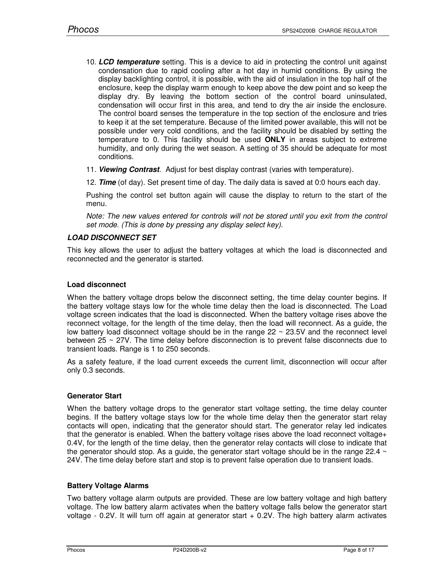- 10. **LCD temperature** setting. This is a device to aid in protecting the control unit against condensation due to rapid cooling after a hot day in humid conditions. By using the display backlighting control, it is possible, with the aid of insulation in the top half of the enclosure, keep the display warm enough to keep above the dew point and so keep the display dry. By leaving the bottom section of the control board uninsulated, condensation will occur first in this area, and tend to dry the air inside the enclosure. The control board senses the temperature in the top section of the enclosure and tries to keep it at the set temperature. Because of the limited power available, this will not be possible under very cold conditions, and the facility should be disabled by setting the temperature to 0. This facility should be used **ONLY** in areas subject to extreme humidity, and only during the wet season. A setting of 35 should be adequate for most conditions.
- 11. **Viewing Contrast**. Adjust for best display contrast (varies with temperature).
- 12. **Time** (of day). Set present time of day. The daily data is saved at 0:0 hours each day.

Pushing the control set button again will cause the display to return to the start of the menu.

*Note: The new values entered for controls will not be stored until you exit from the control set mode. (This is done by pressing any display select key).*

#### **LOAD DISCONNECT SET**

This key allows the user to adjust the battery voltages at which the load is disconnected and reconnected and the generator is started.

#### **Load disconnect**

When the battery voltage drops below the disconnect setting, the time delay counter begins. If the battery voltage stays low for the whole time delay then the load is disconnected. The Load voltage screen indicates that the load is disconnected. When the battery voltage rises above the reconnect voltage, for the length of the time delay, then the load will reconnect. As a guide, the low battery load disconnect voltage should be in the range  $22 \sim 23.5V$  and the reconnect level between 25 ~ 27V. The time delay before disconnection is to prevent false disconnects due to transient loads. Range is 1 to 250 seconds.

As a safety feature, if the load current exceeds the current limit, disconnection will occur after only 0.3 seconds.

# **Generator Start**

When the battery voltage drops to the generator start voltage setting, the time delay counter begins. If the battery voltage stays low for the whole time delay then the generator start relay contacts will open, indicating that the generator should start. The generator relay led indicates that the generator is enabled. When the battery voltage rises above the load reconnect voltage+ 0.4V, for the length of the time delay, then the generator relay contacts will close to indicate that the generator should stop. As a guide, the generator start voltage should be in the range 22.4  $\sim$ 24V. The time delay before start and stop is to prevent false operation due to transient loads.

#### **Battery Voltage Alarms**

Two battery voltage alarm outputs are provided. These are low battery voltage and high battery voltage. The low battery alarm activates when the battery voltage falls below the generator start voltage - 0.2V. It will turn off again at generator start + 0.2V. The high battery alarm activates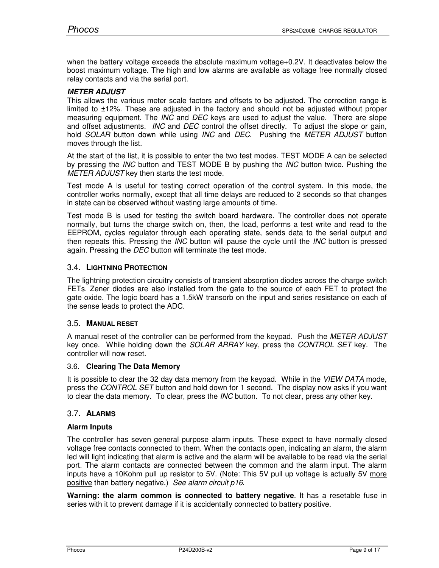when the battery voltage exceeds the absolute maximum voltage+0.2V. It deactivates below the boost maximum voltage. The high and low alarms are available as voltage free normally closed relay contacts and via the serial port.

# **METER ADJUST**

This allows the various meter scale factors and offsets to be adjusted. The correction range is limited to ±12%. These are adjusted in the factory and should not be adjusted without proper measuring equipment. The *INC* and *DEC* keys are used to adjust the value. There are slope and offset adjustments. *INC* and *DEC* control the offset directly. To adjust the slope or gain, hold *SOLAR* button down while using *INC* and *DEC*. Pushing the *METER ADJUST* button moves through the list.

At the start of the list, it is possible to enter the two test modes. TEST MODE A can be selected by pressing the *INC* button and TEST MODE B by pushing the *INC* button twice. Pushing the *METER ADJUST* key then starts the test mode.

Test mode A is useful for testing correct operation of the control system. In this mode, the controller works normally, except that all time delays are reduced to 2 seconds so that changes in state can be observed without wasting large amounts of time.

Test mode B is used for testing the switch board hardware. The controller does not operate normally, but turns the charge switch on, then, the load, performs a test write and read to the EEPROM, cycles regulator through each operating state, sends data to the serial output and then repeats this. Pressing the *INC* button will pause the cycle until the *INC* button is pressed again. Pressing the *DEC* button will terminate the test mode.

#### 3.4. **LIGHTNING PROTECTION**

The lightning protection circuitry consists of transient absorption diodes across the charge switch FETs. Zener diodes are also installed from the gate to the source of each FET to protect the gate oxide. The logic board has a 1.5kW transorb on the input and series resistance on each of the sense leads to protect the ADC.

#### 3.5. **MANUAL RESET**

A manual reset of the controller can be performed from the keypad. Push the *METER ADJUST* key once. While holding down the *SOLAR ARRAY* key, press the *CONTROL SET* key. The controller will now reset.

#### 3.6. **Clearing The Data Memory**

It is possible to clear the 32 day data memory from the keypad. While in the *VIEW DATA* mode, press the *CONTROL SET* button and hold down for 1 second. The display now asks if you want to clear the data memory. To clear, press the *INC* button. To not clear, press any other key.

# 3.7**. ALARMS**

#### **Alarm Inputs**

The controller has seven general purpose alarm inputs. These expect to have normally closed voltage free contacts connected to them. When the contacts open, indicating an alarm, the alarm led will light indicating that alarm is active and the alarm will be available to be read via the serial port. The alarm contacts are connected between the common and the alarm input. The alarm inputs have a 10Kohm pull up resistor to 5V. (Note: This 5V pull up voltage is actually 5V more positive than battery negative.) *See alarm circuit p16*.

**Warning: the alarm common is connected to battery negative**. It has a resetable fuse in series with it to prevent damage if it is accidentally connected to battery positive.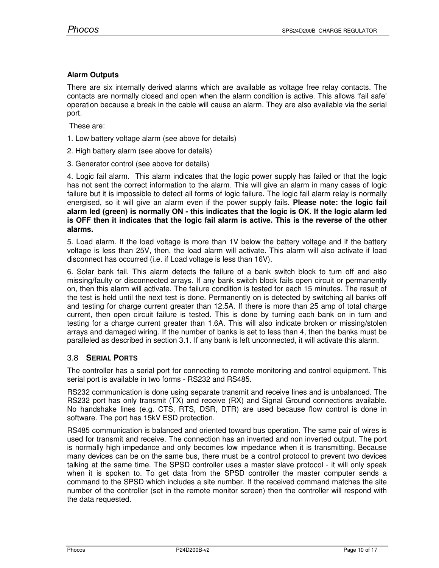# **Alarm Outputs**

There are six internally derived alarms which are available as voltage free relay contacts. The contacts are normally closed and open when the alarm condition is active. This allows 'fail safe' operation because a break in the cable will cause an alarm. They are also available via the serial port.

These are:

- 1. Low battery voltage alarm (see above for details)
- 2. High battery alarm (see above for details)
- 3. Generator control (see above for details)

4. Logic fail alarm. This alarm indicates that the logic power supply has failed or that the logic has not sent the correct information to the alarm. This will give an alarm in many cases of logic failure but it is impossible to detect all forms of logic failure. The logic fail alarm relay is normally energised, so it will give an alarm even if the power supply fails. **Please note: the logic fail alarm led (green) is normally ON - this indicates that the logic is OK. If the logic alarm led is OFF then it indicates that the logic fail alarm is active. This is the reverse of the other alarms.** 

5. Load alarm. If the load voltage is more than 1V below the battery voltage and if the battery voltage is less than 25V, then, the load alarm will activate. This alarm will also activate if load disconnect has occurred (i.e. if Load voltage is less than 16V).

6. Solar bank fail. This alarm detects the failure of a bank switch block to turn off and also missing/faulty or disconnected arrays. If any bank switch block fails open circuit or permanently on, then this alarm will activate. The failure condition is tested for each 15 minutes. The result of the test is held until the next test is done. Permanently on is detected by switching all banks off and testing for charge current greater than 12.5A. If there is more than 25 amp of total charge current, then open circuit failure is tested. This is done by turning each bank on in turn and testing for a charge current greater than 1.6A. This will also indicate broken or missing/stolen arrays and damaged wiring. If the number of banks is set to less than 4, then the banks must be paralleled as described in section 3.1. If any bank is left unconnected, it will activate this alarm.

# 3.8 **SERIAL PORTS**

The controller has a serial port for connecting to remote monitoring and control equipment. This serial port is available in two forms - RS232 and RS485.

RS232 communication is done using separate transmit and receive lines and is unbalanced. The RS232 port has only transmit (TX) and receive (RX) and Signal Ground connections available. No handshake lines (e.g. CTS, RTS, DSR, DTR) are used because flow control is done in software. The port has 15kV ESD protection.

RS485 communication is balanced and oriented toward bus operation. The same pair of wires is used for transmit and receive. The connection has an inverted and non inverted output. The port is normally high impedance and only becomes low impedance when it is transmitting. Because many devices can be on the same bus, there must be a control protocol to prevent two devices talking at the same time. The SPSD controller uses a master slave protocol - it will only speak when it is spoken to. To get data from the SPSD controller the master computer sends a command to the SPSD which includes a site number. If the received command matches the site number of the controller (set in the remote monitor screen) then the controller will respond with the data requested.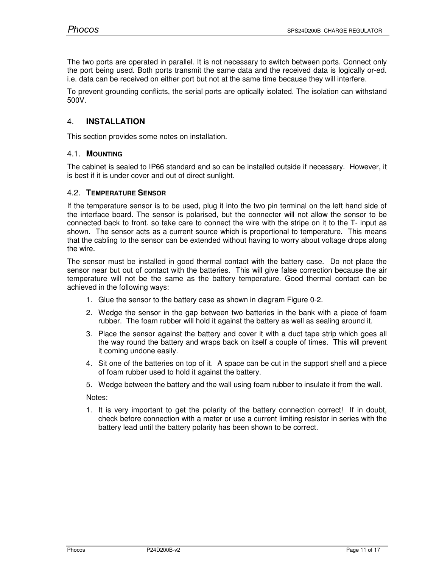The two ports are operated in parallel. It is not necessary to switch between ports. Connect only the port being used. Both ports transmit the same data and the received data is logically or-ed. i.e. data can be received on either port but not at the same time because they will interfere.

To prevent grounding conflicts, the serial ports are optically isolated. The isolation can withstand 500V.

# 4. **INSTALLATION**

This section provides some notes on installation.

# 4.1. **MOUNTING**

The cabinet is sealed to IP66 standard and so can be installed outside if necessary. However, it is best if it is under cover and out of direct sunlight.

# 4.2. **TEMPERATURE SENSOR**

If the temperature sensor is to be used, plug it into the two pin terminal on the left hand side of the interface board. The sensor is polarised, but the connecter will not allow the sensor to be connected back to front. so take care to connect the wire with the stripe on it to the T- input as shown. The sensor acts as a current source which is proportional to temperature. This means that the cabling to the sensor can be extended without having to worry about voltage drops along the wire.

The sensor must be installed in good thermal contact with the battery case. Do not place the sensor near but out of contact with the batteries. This will give false correction because the air temperature will not be the same as the battery temperature. Good thermal contact can be achieved in the following ways:

- 1. Glue the sensor to the battery case as shown in diagram Figure 0-2.
- 2. Wedge the sensor in the gap between two batteries in the bank with a piece of foam rubber. The foam rubber will hold it against the battery as well as sealing around it.
- 3. Place the sensor against the battery and cover it with a duct tape strip which goes all the way round the battery and wraps back on itself a couple of times. This will prevent it coming undone easily.
- 4. Sit one of the batteries on top of it. A space can be cut in the support shelf and a piece of foam rubber used to hold it against the battery.
- 5. Wedge between the battery and the wall using foam rubber to insulate it from the wall.

Notes:

1. It is very important to get the polarity of the battery connection correct! If in doubt, check before connection with a meter or use a current limiting resistor in series with the battery lead until the battery polarity has been shown to be correct.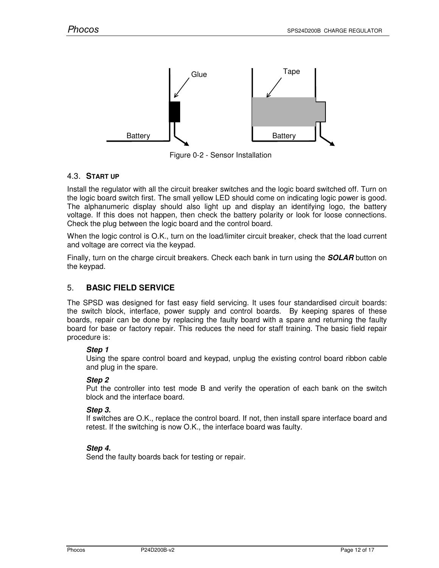

Figure 0-2 - Sensor Installation

# 4.3. **START UP**

Install the regulator with all the circuit breaker switches and the logic board switched off. Turn on the logic board switch first. The small yellow LED should come on indicating logic power is good. The alphanumeric display should also light up and display an identifying logo, the battery voltage. If this does not happen, then check the battery polarity or look for loose connections. Check the plug between the logic board and the control board.

When the logic control is O.K., turn on the load/limiter circuit breaker, check that the load current and voltage are correct via the keypad.

Finally, turn on the charge circuit breakers. Check each bank in turn using the **SOLAR** button on the keypad.

# 5. **BASIC FIELD SERVICE**

The SPSD was designed for fast easy field servicing. It uses four standardised circuit boards: the switch block, interface, power supply and control boards. By keeping spares of these boards, repair can be done by replacing the faulty board with a spare and returning the faulty board for base or factory repair. This reduces the need for staff training. The basic field repair procedure is:

# **Step 1**

Using the spare control board and keypad, unplug the existing control board ribbon cable and plug in the spare.

# **Step 2**

Put the controller into test mode B and verify the operation of each bank on the switch block and the interface board.

#### **Step 3.**

If switches are O.K., replace the control board. If not, then install spare interface board and retest. If the switching is now O.K., the interface board was faulty.

# **Step 4.**

Send the faulty boards back for testing or repair.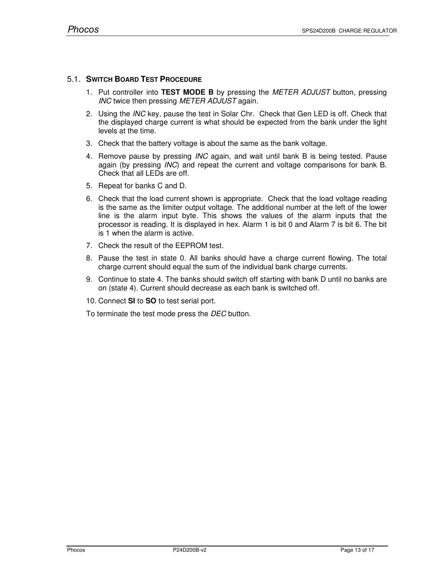# 5.1. **SWITCH BOARD TEST PROCEDURE**

- 1. Put controller into **TEST MODE B** by pressing the *METER ADJUST* button, pressing *INC* twice then pressing *METER ADJUST* again.
- 2. Using the *INC* key, pause the test in Solar Chr. Check that Gen LED is off. Check that the displayed charge current is what should be expected from the bank under the light levels at the time.
- 3. Check that the battery voltage is about the same as the bank voltage.
- 4. Remove pause by pressing *INC* again, and wait until bank B is being tested. Pause again (by pressing *INC*) and repeat the current and voltage comparisons for bank B. Check that all LEDs are off.
- 5. Repeat for banks C and D.
- 6. Check that the load current shown is appropriate. Check that the load voltage reading is the same as the limiter output voltage. The additional number at the left of the lower line is the alarm input byte. This shows the values of the alarm inputs that the processor is reading. It is displayed in hex. Alarm 1 is bit 0 and Alarm 7 is bit 6. The bit is 1 when the alarm is active.
- 7. Check the result of the EEPROM test.
- 8. Pause the test in state 0. All banks should have a charge current flowing. The total charge current should equal the sum of the individual bank charge currents.
- 9. Continue to state 4. The banks should switch off starting with bank D until no banks are on (state 4). Current should decrease as each bank is switched off.
- 10. Connect **SI** to **SO** to test serial port.

To terminate the test mode press the *DEC* button.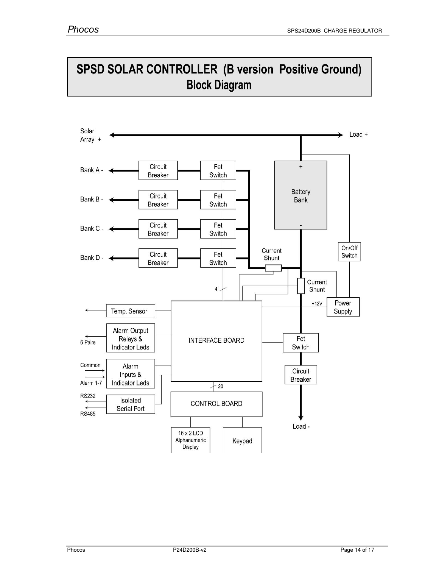# **SPSD SOLAR CONTROLLER (B version Positive Ground) Block Diagram**

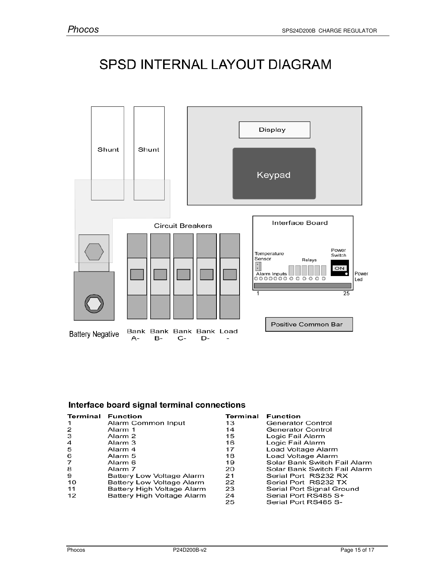# SPSD INTERNAL LAYOUT DIAGRAM



# Interface board signal terminal connections

| Terminal       | <b>Function</b>            | Terminal | <b>Function</b>              |
|----------------|----------------------------|----------|------------------------------|
|                | Alarm Common Input         | 13       | Generator Control            |
| 2              | Alarm 1                    | 14       | Generator Control            |
| 3              | Alarm 2                    | 15       | Logic Fail Alarm             |
| $\overline{a}$ | Alarm 3                    | 16       | Logic Fail Alarm             |
| -5             | Alarm 4                    | 17       | Load Voltage Alarm           |
| 6              | Alarm 5                    | 18       | Load Voltage Alarm           |
| 7              | Alarm 6                    | 19       | Solar Bank Switch Fail Alarm |
| 8              | Alarm 7                    | 20       | Solar Bank Switch Fail Alarm |
| 9              | Battery Low Voltage Alarm  | 21       | Serial Port RS232 RX         |
| 10             | Battery Low Voltage Alarm  | 22       | Serial Port RS232 TX         |
| 11             | Battery High Voltage Alarm | 23       | Serial Port Signal Ground    |
| 12             | Battery High Voltage Alarm | 24       | Serial Port RS485 S+         |
|                |                            | 25       | Serial Port RS485 S-         |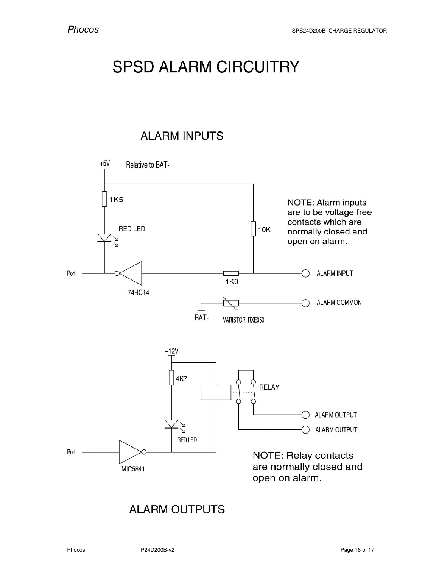# **SPSD ALARM CIRCUITRY**

# **ALARM INPUTS**



# **ALARM OUTPUTS**